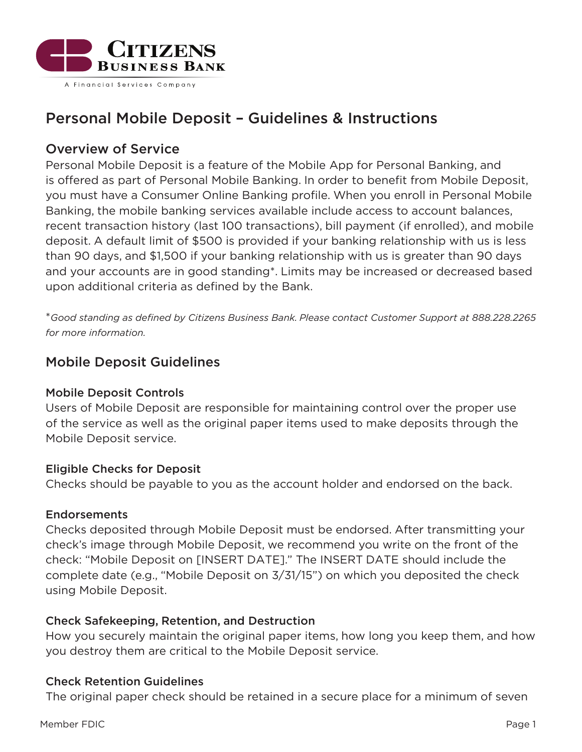

# Personal Mobile Deposit – Guidelines & Instructions

# Overview of Service

Personal Mobile Deposit is a feature of the Mobile App for Personal Banking, and is offered as part of Personal Mobile Banking. In order to benefit from Mobile Deposit, you must have a Consumer Online Banking profile. When you enroll in Personal Mobile Banking, the mobile banking services available include access to account balances, recent transaction history (last 100 transactions), bill payment (if enrolled), and mobile deposit. A default limit of \$500 is provided if your banking relationship with us is less than 90 days, and \$1,500 if your banking relationship with us is greater than 90 days and your accounts are in good standing\*. Limits may be increased or decreased based upon additional criteria as defined by the Bank.

\**Good standing as defined by Citizens Business Bank. Please contact Customer Support at 888.228.2265 for more information.*

# Mobile Deposit Guidelines

# Mobile Deposit Controls

Users of Mobile Deposit are responsible for maintaining control over the proper use of the service as well as the original paper items used to make deposits through the Mobile Deposit service.

#### Eligible Checks for Deposit

Checks should be payable to you as the account holder and endorsed on the back.

# Endorsements

Checks deposited through Mobile Deposit must be endorsed. After transmitting your check's image through Mobile Deposit, we recommend you write on the front of the check: "Mobile Deposit on [INSERT DATE]." The INSERT DATE should include the complete date (e.g., "Mobile Deposit on 3/31/15") on which you deposited the check using Mobile Deposit.

# Check Safekeeping, Retention, and Destruction

How you securely maintain the original paper items, how long you keep them, and how you destroy them are critical to the Mobile Deposit service.

#### Check Retention Guidelines

The original paper check should be retained in a secure place for a minimum of seven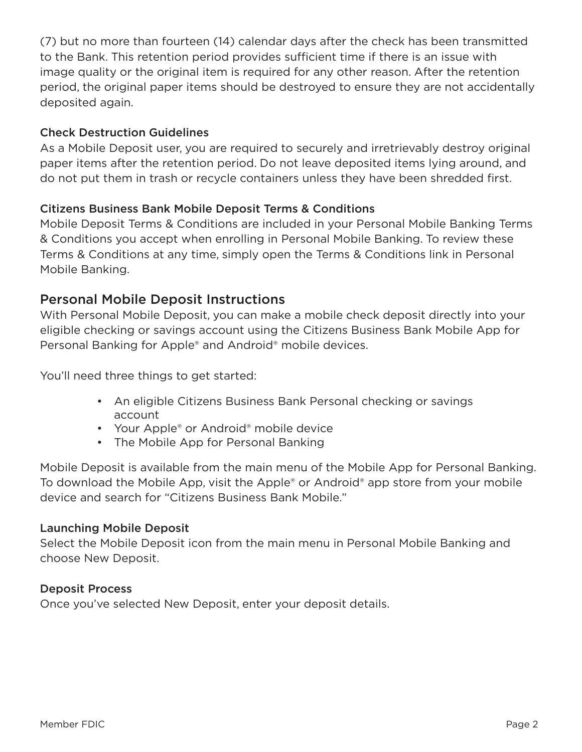(7) but no more than fourteen (14) calendar days after the check has been transmitted to the Bank. This retention period provides sufficient time if there is an issue with image quality or the original item is required for any other reason. After the retention period, the original paper items should be destroyed to ensure they are not accidentally deposited again.

# Check Destruction Guidelines

As a Mobile Deposit user, you are required to securely and irretrievably destroy original paper items after the retention period. Do not leave deposited items lying around, and do not put them in trash or recycle containers unless they have been shredded first.

# Citizens Business Bank Mobile Deposit Terms & Conditions

Mobile Deposit Terms & Conditions are included in your Personal Mobile Banking Terms & Conditions you accept when enrolling in Personal Mobile Banking. To review these Terms & Conditions at any time, simply open the Terms & Conditions link in Personal Mobile Banking.

# Personal Mobile Deposit Instructions

With Personal Mobile Deposit, you can make a mobile check deposit directly into your eligible checking or savings account using the Citizens Business Bank Mobile App for Personal Banking for Apple® and Android® mobile devices.

You'll need three things to get started:

- An eligible Citizens Business Bank Personal checking or savings account
- Your Apple® or Android® mobile device
- The Mobile App for Personal Banking

Mobile Deposit is available from the main menu of the Mobile App for Personal Banking. To download the Mobile App, visit the Apple® or Android® app store from your mobile device and search for "Citizens Business Bank Mobile."

# Launching Mobile Deposit

Select the Mobile Deposit icon from the main menu in Personal Mobile Banking and choose New Deposit.

# Deposit Process

Once you've selected New Deposit, enter your deposit details.